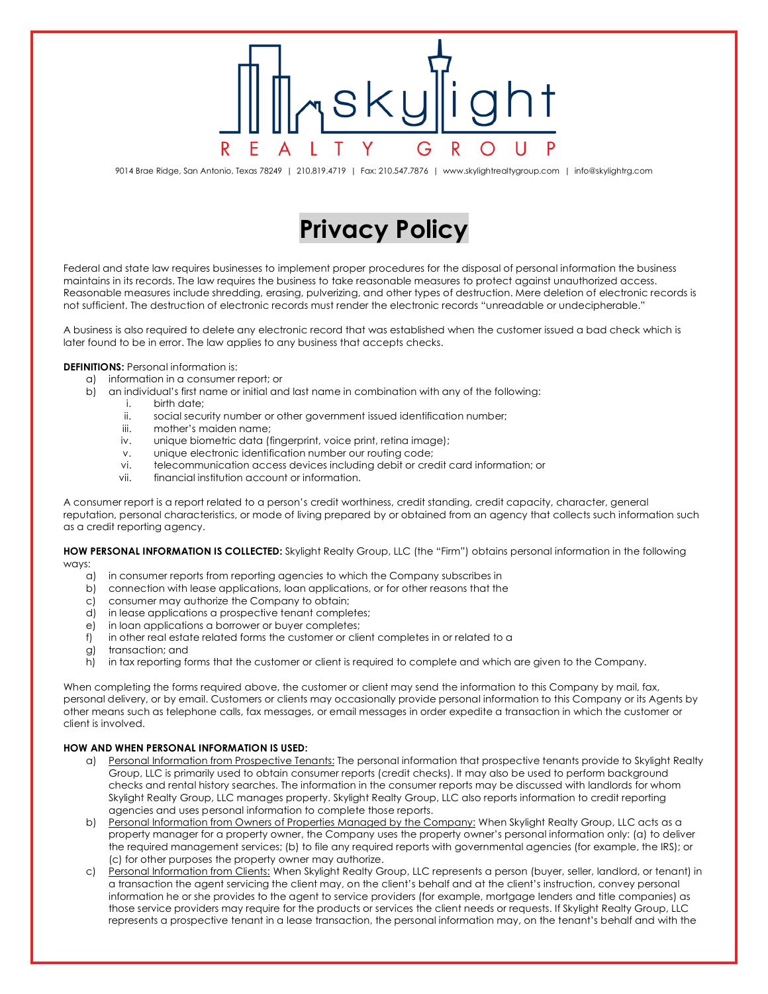9014 Brae Ridge, San Antonio, Texas 78249 | 210.819.4719 | Fax: 210.547.7876 | www.skylightrealtygroup.com | info@skylightrg.com

## **Privacy Policy**

Federal and state law requires businesses to implement proper procedures for the disposal of personal information the business maintains in its records. The law requires the business to take reasonable measures to protect against unauthorized access. Reasonable measures include shredding, erasing, pulverizing, and other types of destruction. Mere deletion of electronic records is not sufficient. The destruction of electronic records must render the electronic records "unreadable or undecipherable."

A business is also required to delete any electronic record that was established when the customer issued a bad check which is later found to be in error. The law applies to any business that accepts checks.

## **DEFINITIONS:** Personal information is:

- a) information in a consumer report; or
- b) an individual's first name or initial and last name in combination with any of the following:
	- i. birth date;
		- ii. social security number or other government issued identification number;
		- iii. mother's maiden name;
		- iv. unique biometric data (fingerprint, voice print, retina image);
		- v. unique electronic identification number our routing code;
		- vi. telecommunication access devices including debit or credit card information; or
		- vii. financial institution account or information.

A consumer report is a report related to a person's credit worthiness, credit standing, credit capacity, character, general reputation, personal characteristics, or mode of living prepared by or obtained from an agency that collects such information such as a credit reporting agency.

**HOW PERSONAL INFORMATION IS COLLECTED:** Skylight Realty Group, LLC (the "Firm") obtains personal information in the following ways:

- a) in consumer reports from reporting agencies to which the Company subscribes in
- b) connection with lease applications, loan applications, or for other reasons that the
- c) consumer may authorize the Company to obtain;
- d) in lease applications a prospective tenant completes;
- e) in loan applications a borrower or buyer completes;
- f) in other real estate related forms the customer or client completes in or related to a
- g) transaction; and
- h) in tax reporting forms that the customer or client is required to complete and which are given to the Company.

When completing the forms required above, the customer or client may send the information to this Company by mail, fax, personal delivery, or by email. Customers or clients may occasionally provide personal information to this Company or its Agents by other means such as telephone calls, fax messages, or email messages in order expedite a transaction in which the customer or client is involved.

## **HOW AND WHEN PERSONAL INFORMATION IS USED:**

- a) Personal Information from Prospective Tenants: The personal information that prospective tenants provide to Skylight Realty Group, LLC is primarily used to obtain consumer reports (credit checks). It may also be used to perform background checks and rental history searches. The information in the consumer reports may be discussed with landlords for whom Skylight Realty Group, LLC manages property. Skylight Realty Group, LLC also reports information to credit reporting agencies and uses personal information to complete those reports.
- b) Personal Information from Owners of Properties Managed by the Company: When Skylight Realty Group, LLC acts as a property manager for a property owner, the Company uses the property owner's personal information only: (a) to deliver the required management services; (b) to file any required reports with governmental agencies (for example, the IRS); or (c) for other purposes the property owner may authorize.
- c) Personal Information from Clients: When Skylight Realty Group, LLC represents a person (buyer, seller, landlord, or tenant) in a transaction the agent servicing the client may, on the client's behalf and at the client's instruction, convey personal information he or she provides to the agent to service providers (for example, mortgage lenders and title companies) as those service providers may require for the products or services the client needs or requests. If Skylight Realty Group, LLC represents a prospective tenant in a lease transaction, the personal information may, on the tenant's behalf and with the